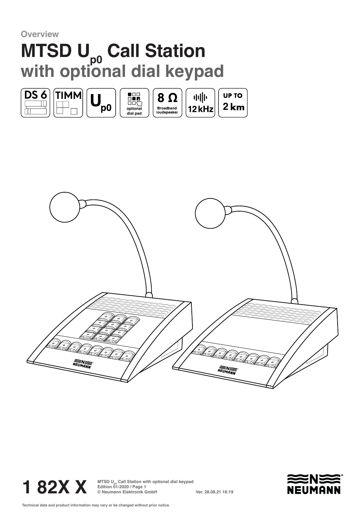**Overview**

## **MTSD U<sub>p0</sub> Call Station with optional dial keypad**







**1 82X X MTSD U<sub>p</sub> Call Station with optional dial keypad**<br> **1 82X X Edition 01-2020 / Page 1**<br> **I Stationik GmbH Edition 01-2020 / Page 1 © Neumann Elektronik GmbH Ver. 28.08.21 16:19**

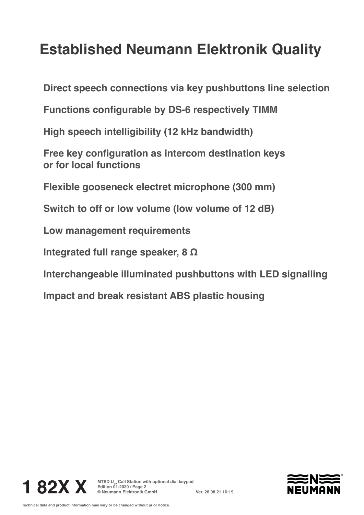## **Established Neumann Elektronik Quality**

**Direct speech connections via key pushbuttons line selection**

**Functions configurable by DS-6 respectively TIMM**

**High speech intelligibility (12 kHz bandwidth)**

**Free key configuration as intercom destination keys or for local functions**

**Flexible gooseneck electret microphone (300 mm)**

**Switch to off or low volume (low volume of 12 dB)**

**Low management requirements**

**Integrated full range speaker, 8 Ω**

**Interchangeable illuminated pushbuttons with LED signalling**

**Impact and break resistant ABS plastic housing**



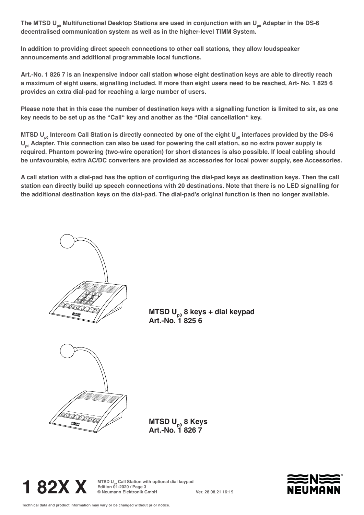The MTSD U<sub>p0</sub> Multifunctional Desktop Stations are used in conjunction with an U<sub>n0</sub> Adapter in the DS-6 **decentralised communication system as well as in the higher-level TIMM System.** 

**In addition to providing direct speech connections to other call stations, they allow loudspeaker announcements and additional programmable local functions.**

**Art.-No. 1 826 7 is an inexpensive indoor call station whose eight destination keys are able to directly reach a maximum of eight users, signalling included. If more than eight users need to be reached, Art- No. 1 825 6 provides an extra dial-pad for reaching a large number of users.** 

**Please note that in this case the number of destination keys with a signalling function is limited to six, as one key needs to be set up as the "Call" key and another as the "Dial cancellation" key.**

**MTSD U<sub>n0</sub>** Intercom Call Station is directly connected by one of the eight U<sub>n0</sub> interfaces provided by the DS-6 U<sub>n0</sub> Adapter. This connection can also be used for powering the call station, so no extra power supply is **required. Phantom powering (two-wire operation) for short distances is also possible. If local cabling should be unfavourable, extra AC/DC converters are provided as accessories for local power supply, see Accessories.**

**A call station with a dial-pad has the option of configuring the dial-pad keys as destination keys. Then the call station can directly build up speech connections with 20 destinations. Note that there is no LED signalling for the additional destination keys on the dial-pad. The dial-pad's original function is then no longer available.**

**MTSD U<sub>n0</sub> 8 keys + dial keypad Art.-No. 1 825 6**



**MTSD Up0 8 Keys Art.-No. 1 826 7**



**1 82X X MTSD U<sub>p</sub> Call Station with optional dial keypad**<br> **1 82X X Edition 01-2020 / Page 3**<br> **Intermann Elektronik GmbH Edition 01-2020 / Page 3 © Neumann Elektronik GmbH Ver. 28.08.21 16:19**

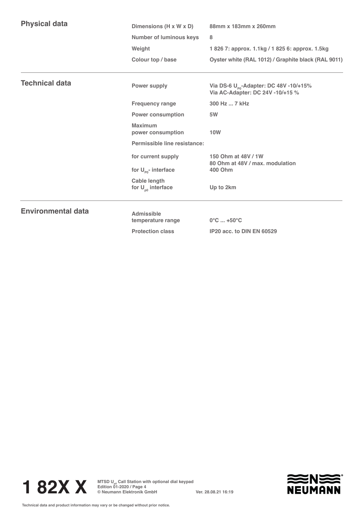| <b>Physical data</b>      | 88mm x 183mm x 260mm<br>Dimensions (H x W x D)                |                                                                                                      |                       |              |                                                    |
|---------------------------|---------------------------------------------------------------|------------------------------------------------------------------------------------------------------|-----------------------|--------------|----------------------------------------------------|
|                           | <b>Number of luminous keys</b><br>Weight<br>Colour top / base | 8                                                                                                    |                       |              |                                                    |
|                           |                                                               | 1826 7: approx. 1.1kg / 1825 6: approx. 1.5kg<br>Oyster white (RAL 1012) / Graphite black (RAL 9011) |                       |              |                                                    |
|                           |                                                               |                                                                                                      | <b>Technical data</b> | Power supply | Via DS-6 U <sub>po</sub> -Adapter: DC 48V -10/+15% |
|                           |                                                               |                                                                                                      |                       |              | Via AC-Adapter: DC 24V -10/+15 %                   |
| <b>Frequency range</b>    | 300 Hz  7 kHz                                                 |                                                                                                      |                       |              |                                                    |
| <b>Power consumption</b>  | 5W                                                            |                                                                                                      |                       |              |                                                    |
|                           | Maximum<br>power consumption                                  | <b>10W</b>                                                                                           |                       |              |                                                    |
|                           | Permissible line resistance:                                  |                                                                                                      |                       |              |                                                    |
|                           | for current supply                                            | 150 Ohm at 48V / 1W<br>80 Ohm at 48V / max. modulation                                               |                       |              |                                                    |
|                           | for $U_{\text{po}}$ - interface                               | <b>400 Ohm</b>                                                                                       |                       |              |                                                    |
|                           | <b>Cable length</b><br>for $U_{n0}$ interface                 | Up to 2km                                                                                            |                       |              |                                                    |
| <b>Environmental data</b> | <b>Admissible</b>                                             | $0^{\circ}$ C  +50 $^{\circ}$ C                                                                      |                       |              |                                                    |
|                           | temperature range                                             |                                                                                                      |                       |              |                                                    |

**Protection class IP20 acc. to DIN EN 60529**



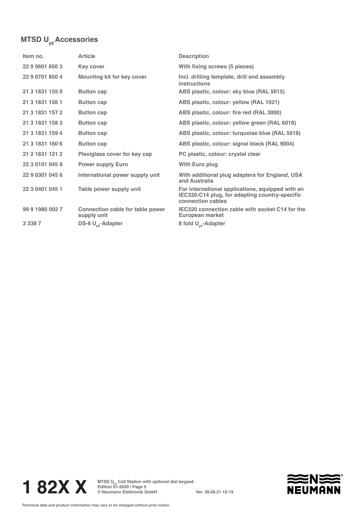## **MTSD U<sub>p0</sub> Accessories**

| Item no.        | <b>Article</b>                                  | <b>Description</b>                                                                                                      |
|-----------------|-------------------------------------------------|-------------------------------------------------------------------------------------------------------------------------|
| 22 9 0601 850 3 | <b>Key cover</b>                                | With fixing screws (5 pieces)                                                                                           |
| 22 9 0701 850 4 | <b>Mounting kit for key cover</b>               | Incl. drilling template, drill and assembly<br>instructions                                                             |
| 21 3 1831 155 0 | <b>Button cap</b>                               | ABS plastic, colour: sky blue (RAL 5015)                                                                                |
| 21 3 1831 156 1 | <b>Button cap</b>                               | ABS plastic, colour: yellow (RAL 1021)                                                                                  |
| 21 3 1831 157 2 | <b>Button cap</b>                               | ABS plastic, colour: fire red (RAL 3000)                                                                                |
| 21 3 1831 158 3 | <b>Button cap</b>                               | ABS plastic, colour: yellow green (RAL 6018)                                                                            |
| 21 3 1831 159 4 | <b>Button cap</b>                               | ABS plastic, colour: turquoise blue (RAL 5018)                                                                          |
| 21 3 1831 160 6 | <b>Button cap</b>                               | ABS plastic, colour: signal black (RAL 9004)                                                                            |
| 21 2 1831 121 2 | Plexiglass cover for key cap                    | PC plastic, colour: crystal clear                                                                                       |
| 22 3 0101 045 8 | <b>Power supply Euro</b>                        | With Euro plug                                                                                                          |
| 22 9 0301 045 6 | International power supply unit                 | With additional plug adapters for England, USA<br>and Australia                                                         |
| 22 3 0401 045 1 | Table power supply unit                         | For international applications, equipped with an<br>IEC320-C14 plug, for adapting country-specific<br>connection cables |
| 99 9 1980 002 7 | Connection cable for table power<br>supply unit | IEC320 connection cable with socket C14 for the<br>European market                                                      |
| 3 3 3 8 7       | DS-6 U <sub>n0</sub> -Adapter                   | 8 fold U <sub>00</sub> -Adapter                                                                                         |



**1 82X X MTSD U<sub>p</sub> Call Station with optional dial keypad**<br> **1 82X X Edition 01-2020 / Page 5**<br> **Intermann Elektronik GmbH Edition 01-2020 / Page 5 © Neumann Elektronik GmbH Ver. 28.08.21 16:19**